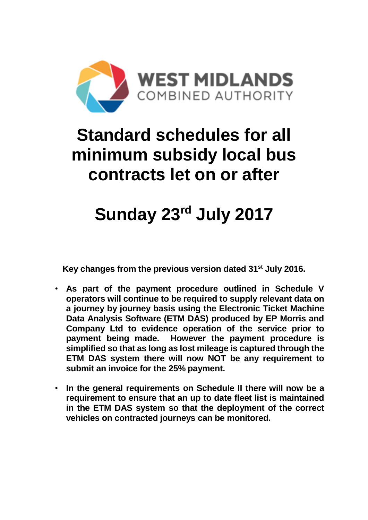

## **Standard schedules for all minimum subsidy local bus contracts let on or after**

# **Sunday 23rd July 2017**

**Key changes from the previous version dated 31st July 2016.**

- **As part of the payment procedure outlined in Schedule V operators will continue to be required to supply relevant data on a journey by journey basis using the Electronic Ticket Machine Data Analysis Software (ETM DAS) produced by EP Morris and Company Ltd to evidence operation of the service prior to payment being made. However the payment procedure is simplified so that as long as lost mileage is captured through the ETM DAS system there will now NOT be any requirement to submit an invoice for the 25% payment.**
- **In the general requirements on Schedule II there will now be a requirement to ensure that an up to date fleet list is maintained in the ETM DAS system so that the deployment of the correct vehicles on contracted journeys can be monitored.**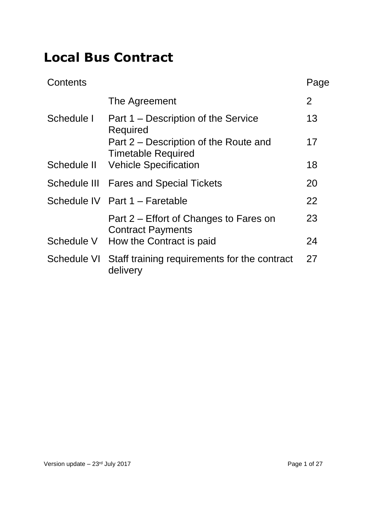## **Local Bus Contract**

| $\overline{2}$<br>The Agreement<br>13<br>Schedule I<br>Part 1 – Description of the Service<br>Required<br>17<br>Part 2 – Description of the Route and<br><b>Timetable Required</b><br><b>Vehicle Specification</b><br>Schedule II<br>18<br>Schedule III Fares and Special Tickets<br>20<br>Schedule IV Part 1 - Faretable<br>22<br>23<br>Part 2 – Effort of Changes to Fares on<br><b>Contract Payments</b><br>How the Contract is paid<br>Schedule V<br>24<br>27<br>Schedule VI<br>Staff training requirements for the contract<br>delivery | Contents | Page |
|----------------------------------------------------------------------------------------------------------------------------------------------------------------------------------------------------------------------------------------------------------------------------------------------------------------------------------------------------------------------------------------------------------------------------------------------------------------------------------------------------------------------------------------------|----------|------|
|                                                                                                                                                                                                                                                                                                                                                                                                                                                                                                                                              |          |      |
|                                                                                                                                                                                                                                                                                                                                                                                                                                                                                                                                              |          |      |
|                                                                                                                                                                                                                                                                                                                                                                                                                                                                                                                                              |          |      |
|                                                                                                                                                                                                                                                                                                                                                                                                                                                                                                                                              |          |      |
|                                                                                                                                                                                                                                                                                                                                                                                                                                                                                                                                              |          |      |
|                                                                                                                                                                                                                                                                                                                                                                                                                                                                                                                                              |          |      |
|                                                                                                                                                                                                                                                                                                                                                                                                                                                                                                                                              |          |      |
|                                                                                                                                                                                                                                                                                                                                                                                                                                                                                                                                              |          |      |
|                                                                                                                                                                                                                                                                                                                                                                                                                                                                                                                                              |          |      |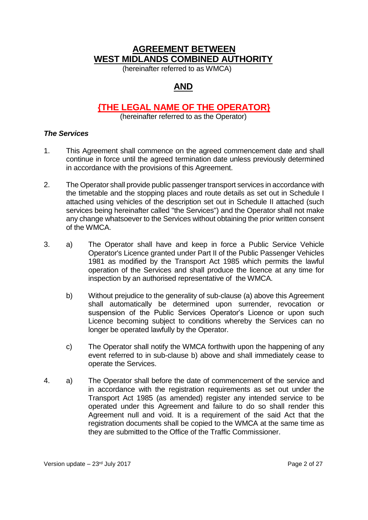## **AGREEMENT BETWEEN WEST MIDLANDS COMBINED AUTHORITY**

(hereinafter referred to as WMCA)

## **AND**

### **{THE LEGAL NAME OF THE OPERATOR}**

(hereinafter referred to as the Operator)

#### *The Services*

- 1. This Agreement shall commence on the agreed commencement date and shall continue in force until the agreed termination date unless previously determined in accordance with the provisions of this Agreement.
- 2. The Operator shall provide public passenger transport services in accordance with the timetable and the stopping places and route details as set out in Schedule I attached using vehicles of the description set out in Schedule II attached (such services being hereinafter called "the Services") and the Operator shall not make any change whatsoever to the Services without obtaining the prior written consent of the WMCA.
- 3. a) The Operator shall have and keep in force a Public Service Vehicle Operator's Licence granted under Part II of the Public Passenger Vehicles 1981 as modified by the Transport Act 1985 which permits the lawful operation of the Services and shall produce the licence at any time for inspection by an authorised representative of the WMCA.
	- b) Without prejudice to the generality of sub-clause (a) above this Agreement shall automatically be determined upon surrender, revocation or suspension of the Public Services Operator's Licence or upon such Licence becoming subject to conditions whereby the Services can no longer be operated lawfully by the Operator.
	- c) The Operator shall notify the WMCA forthwith upon the happening of any event referred to in sub-clause b) above and shall immediately cease to operate the Services.
- 4. a) The Operator shall before the date of commencement of the service and in accordance with the registration requirements as set out under the Transport Act 1985 (as amended) register any intended service to be operated under this Agreement and failure to do so shall render this Agreement null and void. It is a requirement of the said Act that the registration documents shall be copied to the WMCA at the same time as they are submitted to the Office of the Traffic Commissioner.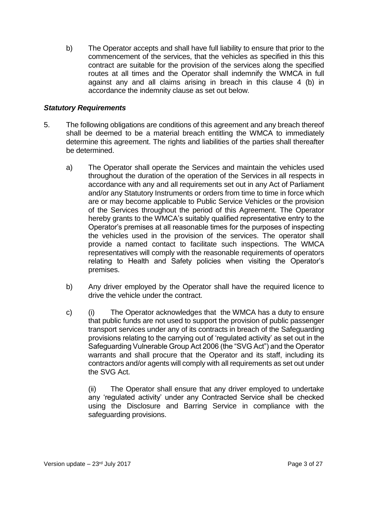b) The Operator accepts and shall have full liability to ensure that prior to the commencement of the services, that the vehicles as specified in this this contract are suitable for the provision of the services along the specified routes at all times and the Operator shall indemnify the WMCA in full against any and all claims arising in breach in this clause 4 (b) in accordance the indemnity clause as set out below.

#### *Statutory Requirements*

- 5. The following obligations are conditions of this agreement and any breach thereof shall be deemed to be a material breach entitling the WMCA to immediately determine this agreement. The rights and liabilities of the parties shall thereafter be determined.
	- a) The Operator shall operate the Services and maintain the vehicles used throughout the duration of the operation of the Services in all respects in accordance with any and all requirements set out in any Act of Parliament and/or any Statutory Instruments or orders from time to time in force which are or may become applicable to Public Service Vehicles or the provision of the Services throughout the period of this Agreement. The Operator hereby grants to the WMCA's suitably qualified representative entry to the Operator's premises at all reasonable times for the purposes of inspecting the vehicles used in the provision of the services. The operator shall provide a named contact to facilitate such inspections. The WMCA representatives will comply with the reasonable requirements of operators relating to Health and Safety policies when visiting the Operator's premises.
	- b) Any driver employed by the Operator shall have the required licence to drive the vehicle under the contract.
	- c) (i) The Operator acknowledges that the WMCA has a duty to ensure that public funds are not used to support the provision of public passenger transport services under any of its contracts in breach of the Safeguarding provisions relating to the carrying out of 'regulated activity' as set out in the Safeguarding Vulnerable Group Act 2006 (the "SVG Act") and the Operator warrants and shall procure that the Operator and its staff, including its contractors and/or agents will comply with all requirements as set out under the SVG Act.

(ii) The Operator shall ensure that any driver employed to undertake any 'regulated activity' under any Contracted Service shall be checked using the Disclosure and Barring Service in compliance with the safeguarding provisions.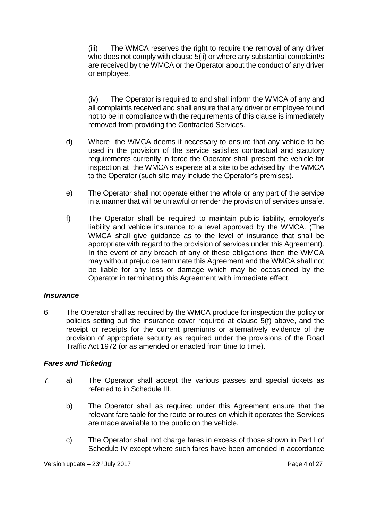(iii) The WMCA reserves the right to require the removal of any driver who does not comply with clause 5(ii) or where any substantial complaint/s are received by the WMCA or the Operator about the conduct of any driver or employee.

(iv) The Operator is required to and shall inform the WMCA of any and all complaints received and shall ensure that any driver or employee found not to be in compliance with the requirements of this clause is immediately removed from providing the Contracted Services.

- d) Where the WMCA deems it necessary to ensure that any vehicle to be used in the provision of the service satisfies contractual and statutory requirements currently in force the Operator shall present the vehicle for inspection at the WMCA's expense at a site to be advised by the WMCA to the Operator (such site may include the Operator's premises).
- e) The Operator shall not operate either the whole or any part of the service in a manner that will be unlawful or render the provision of services unsafe.
- f) The Operator shall be required to maintain public liability, employer's liability and vehicle insurance to a level approved by the WMCA. (The WMCA shall give guidance as to the level of insurance that shall be appropriate with regard to the provision of services under this Agreement). In the event of any breach of any of these obligations then the WMCA may without prejudice terminate this Agreement and the WMCA shall not be liable for any loss or damage which may be occasioned by the Operator in terminating this Agreement with immediate effect.

#### *Insurance*

6. The Operator shall as required by the WMCA produce for inspection the policy or policies setting out the insurance cover required at clause 5(f) above, and the receipt or receipts for the current premiums or alternatively evidence of the provision of appropriate security as required under the provisions of the Road Traffic Act 1972 (or as amended or enacted from time to time).

#### *Fares and Ticketing*

- 7. a) The Operator shall accept the various passes and special tickets as referred to in Schedule III.
	- b) The Operator shall as required under this Agreement ensure that the relevant fare table for the route or routes on which it operates the Services are made available to the public on the vehicle.
	- c) The Operator shall not charge fares in excess of those shown in Part I of Schedule IV except where such fares have been amended in accordance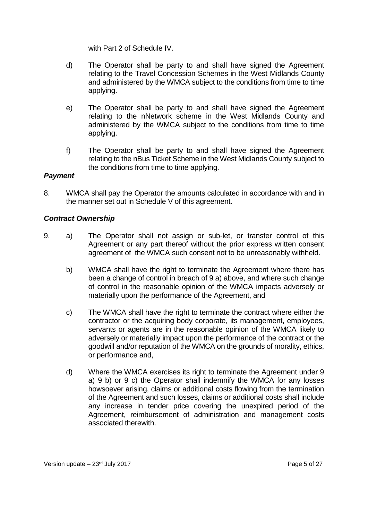with Part 2 of Schedule IV.

- d) The Operator shall be party to and shall have signed the Agreement relating to the Travel Concession Schemes in the West Midlands County and administered by the WMCA subject to the conditions from time to time applying.
- e) The Operator shall be party to and shall have signed the Agreement relating to the nNetwork scheme in the West Midlands County and administered by the WMCA subject to the conditions from time to time applying.
- f) The Operator shall be party to and shall have signed the Agreement relating to the nBus Ticket Scheme in the West Midlands County subject to the conditions from time to time applying.

#### *Payment*

8. WMCA shall pay the Operator the amounts calculated in accordance with and in the manner set out in Schedule V of this agreement.

#### *Contract Ownership*

- 9. a) The Operator shall not assign or sub-let, or transfer control of this Agreement or any part thereof without the prior express written consent agreement of the WMCA such consent not to be unreasonably withheld.
	- b) WMCA shall have the right to terminate the Agreement where there has been a change of control in breach of 9 a) above, and where such change of control in the reasonable opinion of the WMCA impacts adversely or materially upon the performance of the Agreement, and
	- c) The WMCA shall have the right to terminate the contract where either the contractor or the acquiring body corporate, its management, employees, servants or agents are in the reasonable opinion of the WMCA likely to adversely or materially impact upon the performance of the contract or the goodwill and/or reputation of the WMCA on the grounds of morality, ethics, or performance and,
	- d) Where the WMCA exercises its right to terminate the Agreement under 9 a) 9 b) or 9 c) the Operator shall indemnify the WMCA for any losses howsoever arising, claims or additional costs flowing from the termination of the Agreement and such losses, claims or additional costs shall include any increase in tender price covering the unexpired period of the Agreement, reimbursement of administration and management costs associated therewith.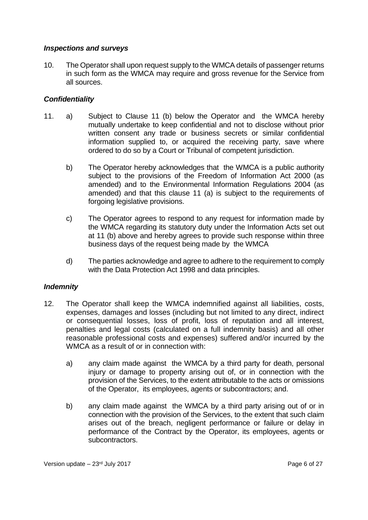#### *Inspections and surveys*

10. The Operator shall upon request supply to the WMCA details of passenger returns in such form as the WMCA may require and gross revenue for the Service from all sources.

#### *Confidentiality*

- 11. a) Subject to Clause 11 (b) below the Operator and the WMCA hereby mutually undertake to keep confidential and not to disclose without prior written consent any trade or business secrets or similar confidential information supplied to, or acquired the receiving party, save where ordered to do so by a Court or Tribunal of competent jurisdiction.
	- b) The Operator hereby acknowledges that the WMCA is a public authority subject to the provisions of the Freedom of Information Act 2000 (as amended) and to the Environmental Information Regulations 2004 (as amended) and that this clause 11 (a) is subject to the requirements of forgoing legislative provisions.
	- c) The Operator agrees to respond to any request for information made by the WMCA regarding its statutory duty under the Information Acts set out at 11 (b) above and hereby agrees to provide such response within three business days of the request being made by the WMCA
	- d) The parties acknowledge and agree to adhere to the requirement to comply with the Data Protection Act 1998 and data principles.

#### *Indemnity*

- 12. The Operator shall keep the WMCA indemnified against all liabilities, costs, expenses, damages and losses (including but not limited to any direct, indirect or consequential losses, loss of profit, loss of reputation and all interest, penalties and legal costs (calculated on a full indemnity basis) and all other reasonable professional costs and expenses) suffered and/or incurred by the WMCA as a result of or in connection with:
	- a) any claim made against the WMCA by a third party for death, personal injury or damage to property arising out of, or in connection with the provision of the Services, to the extent attributable to the acts or omissions of the Operator, its employees, agents or subcontractors; and.
	- b) any claim made against the WMCA by a third party arising out of or in connection with the provision of the Services, to the extent that such claim arises out of the breach, negligent performance or failure or delay in performance of the Contract by the Operator, its employees, agents or subcontractors.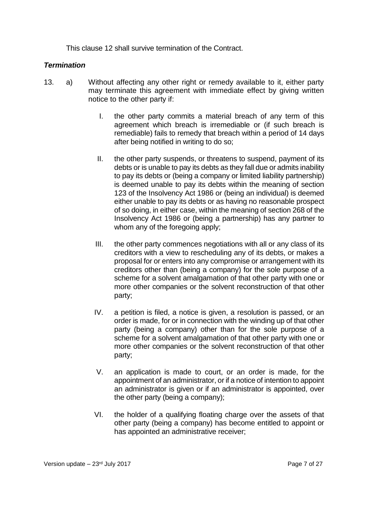This clause 12 shall survive termination of the Contract.

#### *Termination*

- <span id="page-7-0"></span>13. a) Without affecting any other right or remedy available to it, either party may terminate this agreement with immediate effect by giving written notice to the other party if:
	- I. the other party commits a material breach of any term of this agreement which breach is irremediable or (if such breach is remediable) fails to remedy that breach within a period of 14 days after being notified in writing to do so;
	- II. the other party suspends, or threatens to suspend, payment of its debts or is unable to pay its debts as they fall due or admits inability to pay its debts or (being a company or limited liability partnership) is deemed unable to pay its debts within the meaning of section 123 of the Insolvency Act 1986 or (being an individual) is deemed either unable to pay its debts or as having no reasonable prospect of so doing, in either case, within the meaning of section 268 of the Insolvency Act 1986 or (being a partnership) has any partner to whom any of the foregoing apply;
	- III. the other party commences negotiations with all or any class of its creditors with a view to rescheduling any of its debts, or makes a proposal for or enters into any compromise or arrangement with its creditors other than (being a company) for the sole purpose of a scheme for a solvent amalgamation of that other party with one or more other companies or the solvent reconstruction of that other party;
	- IV. a petition is filed, a notice is given, a resolution is passed, or an order is made, for or in connection with the winding up of that other party (being a company) other than for the sole purpose of a scheme for a solvent amalgamation of that other party with one or more other companies or the solvent reconstruction of that other party;
	- V. an application is made to court, or an order is made, for the appointment of an administrator, or if a notice of intention to appoint an administrator is given or if an administrator is appointed, over the other party (being a company);
	- VI. the holder of a qualifying floating charge over the assets of that other party (being a company) has become entitled to appoint or has appointed an administrative receiver;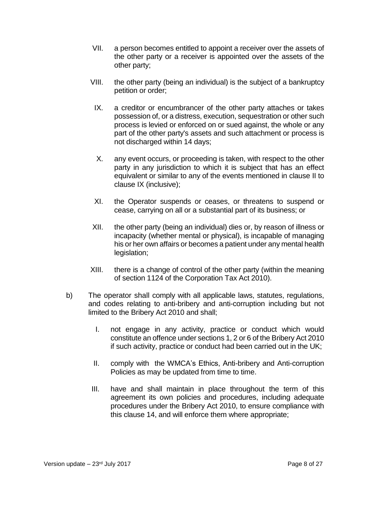- VII. a person becomes entitled to appoint a receiver over the assets of the other party or a receiver is appointed over the assets of the other party;
- <span id="page-8-0"></span>VIII. the other party (being an individual) is the subject of a bankruptcy petition or order;
	- IX. a creditor or encumbrancer of the other party attaches or takes possession of, or a distress, execution, sequestration or other such process is levied or enforced on or sued against, the whole or any part of the other party's assets and such attachment or process is not discharged within 14 days;
	- X. any event occurs, or proceeding is taken, with respect to the other party in any jurisdiction to which it is subject that has an effect equivalent or similar to any of the events mentioned in clause [II](#page-7-0) to clause [IX](#page-8-0) (inclusive);
- XI. the Operator suspends or ceases, or threatens to suspend or cease, carrying on all or a substantial part of its business; or
- XII. the other party (being an individual) dies or, by reason of illness or incapacity (whether mental or physical), is incapable of managing his or her own affairs or becomes a patient under any mental health legislation;
- XIII. there is a change of control of the other party (within the meaning of section 1124 of the Corporation Tax Act 2010).
- b) The operator shall comply with all applicable laws, statutes, regulations, and codes relating to anti-bribery and anti-corruption including but not limited to the Bribery Act 2010 and shall;
	- I. not engage in any activity, practice or conduct which would constitute an offence under sections 1, 2 or 6 of the Bribery Act 2010 if such activity, practice or conduct had been carried out in the UK;
	- II. comply with the WMCA's Ethics, Anti-bribery and Anti-corruption Policies as may be updated from time to time.
	- III. have and shall maintain in place throughout the term of this agreement its own policies and procedures, including adequate procedures under the Bribery Act 2010, to ensure compliance with this clause 14, and will enforce them where appropriate;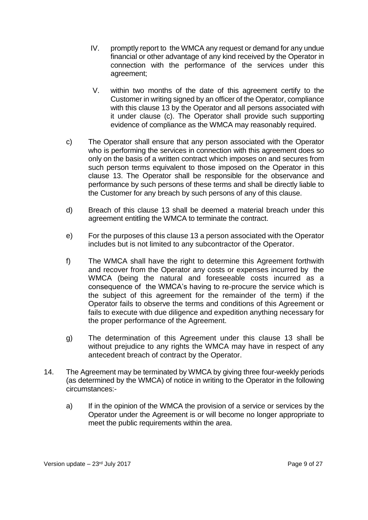- IV. promptly report to the WMCA any request or demand for any undue financial or other advantage of any kind received by the Operator in connection with the performance of the services under this agreement;
- V. within two months of the date of this agreement certify to the Customer in writing signed by an officer of the Operator, compliance with this clause 13 by the Operator and all persons associated with it under clause (c). The Operator shall provide such supporting evidence of compliance as the WMCA may reasonably required.
- c) The Operator shall ensure that any person associated with the Operator who is performing the services in connection with this agreement does so only on the basis of a written contract which imposes on and secures from such person terms equivalent to those imposed on the Operator in this clause 13. The Operator shall be responsible for the observance and performance by such persons of these terms and shall be directly liable to the Customer for any breach by such persons of any of this clause.
- d) Breach of this clause 13 shall be deemed a material breach under this agreement entitling the WMCA to terminate the contract.
- e) For the purposes of this clause 13 a person associated with the Operator includes but is not limited to any subcontractor of the Operator.
- f) The WMCA shall have the right to determine this Agreement forthwith and recover from the Operator any costs or expenses incurred by the WMCA (being the natural and foreseeable costs incurred as a consequence of the WMCA's having to re-procure the service which is the subject of this agreement for the remainder of the term) if the Operator fails to observe the terms and conditions of this Agreement or fails to execute with due diligence and expedition anything necessary for the proper performance of the Agreement.
- g) The determination of this Agreement under this clause 13 shall be without prejudice to any rights the WMCA may have in respect of any antecedent breach of contract by the Operator.
- 14. The Agreement may be terminated by WMCA by giving three four-weekly periods (as determined by the WMCA) of notice in writing to the Operator in the following circumstances:
	- a) If in the opinion of the WMCA the provision of a service or services by the Operator under the Agreement is or will become no longer appropriate to meet the public requirements within the area.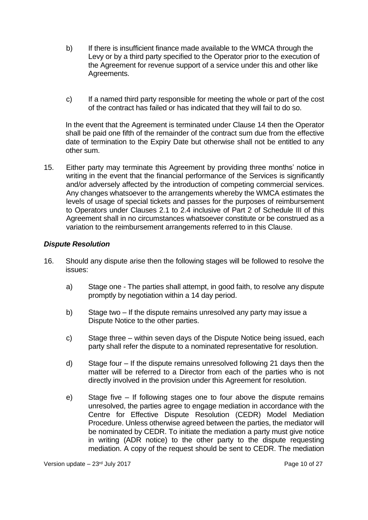- b) If there is insufficient finance made available to the WMCA through the Levy or by a third party specified to the Operator prior to the execution of the Agreement for revenue support of a service under this and other like Agreements.
- c) If a named third party responsible for meeting the whole or part of the cost of the contract has failed or has indicated that they will fail to do so.

In the event that the Agreement is terminated under Clause 14 then the Operator shall be paid one fifth of the remainder of the contract sum due from the effective date of termination to the Expiry Date but otherwise shall not be entitled to any other sum.

15. Either party may terminate this Agreement by providing three months' notice in writing in the event that the financial performance of the Services is significantly and/or adversely affected by the introduction of competing commercial services. Any changes whatsoever to the arrangements whereby the WMCA estimates the levels of usage of special tickets and passes for the purposes of reimbursement to Operators under Clauses 2.1 to 2.4 inclusive of Part 2 of Schedule III of this Agreement shall in no circumstances whatsoever constitute or be construed as a variation to the reimbursement arrangements referred to in this Clause.

#### *Dispute Resolution*

- 16. Should any dispute arise then the following stages will be followed to resolve the issues:
	- a) Stage one The parties shall attempt, in good faith, to resolve any dispute promptly by negotiation within a 14 day period.
	- b) Stage two If the dispute remains unresolved any party may issue a Dispute Notice to the other parties.
	- c) Stage three within seven days of the Dispute Notice being issued, each party shall refer the dispute to a nominated representative for resolution.
	- d) Stage four If the dispute remains unresolved following 21 days then the matter will be referred to a Director from each of the parties who is not directly involved in the provision under this Agreement for resolution.
	- e) Stage five If following stages one to four above the dispute remains unresolved, the parties agree to engage mediation in accordance with the Centre for Effective Dispute Resolution (CEDR) Model Mediation Procedure. Unless otherwise agreed between the parties, the mediator will be nominated by CEDR. To initiate the mediation a party must give notice in writing (ADR notice) to the other party to the dispute requesting mediation. A copy of the request should be sent to CEDR. The mediation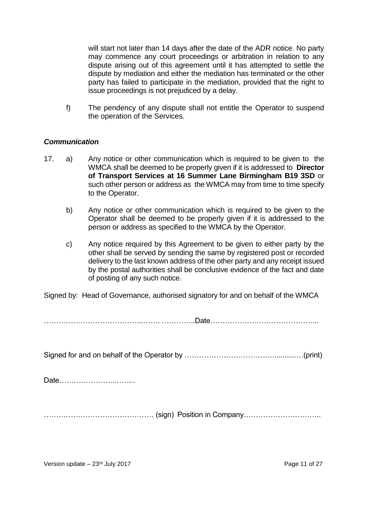will start not later than 14 days after the date of the ADR notice. No party may commence any court proceedings or arbitration in relation to any dispute arising out of this agreement until it has attempted to settle the dispute by mediation and either the mediation has terminated or the other party has failed to participate in the mediation, provided that the right to issue proceedings is not prejudiced by a delay.

f) The pendency of any dispute shall not entitle the Operator to suspend the operation of the Services.

#### *Communication*

- 17. a) Any notice or other communication which is required to be given to the WMCA shall be deemed to be properly given if it is addressed to **Director of Transport Services at 16 Summer Lane Birmingham B19 3SD** or such other person or address as the WMCA may from time to time specify to the Operator.
	- b) Any notice or other communication which is required to be given to the Operator shall be deemed to be properly given if it is addressed to the person or address as specified to the WMCA by the Operator.
	- c) Any notice required by this Agreement to be given to either party by the other shall be served by sending the same by registered post or recorded delivery to the last known address of the other party and any receipt issued by the postal authorities shall be conclusive evidence of the fact and date of posting of any such notice.

Signed by: Head of Governance, authorised signatory for and on behalf of the WMCA

…………………………………..……. …………..Date……………………………………...

Signed for and on behalf of the Operator by ………………………………............…(print)

Date…………………..……...

……………………………………… (sign) Position in Company…………………………..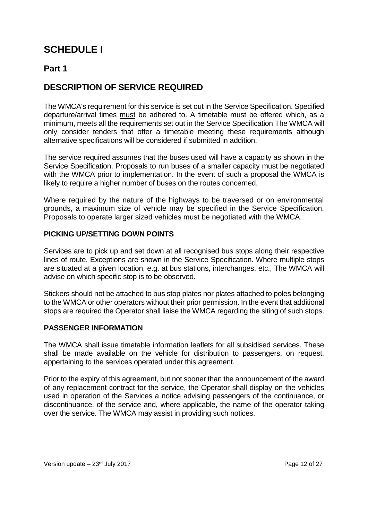## **SCHEDULE I**

### **Part 1**

## **DESCRIPTION OF SERVICE REQUIRED**

The WMCA's requirement for this service is set out in the Service Specification. Specified departure/arrival times must be adhered to. A timetable must be offered which, as a minimum, meets all the requirements set out in the Service Specification The WMCA will only consider tenders that offer a timetable meeting these requirements although alternative specifications will be considered if submitted in addition.

The service required assumes that the buses used will have a capacity as shown in the Service Specification. Proposals to run buses of a smaller capacity must be negotiated with the WMCA prior to implementation. In the event of such a proposal the WMCA is likely to require a higher number of buses on the routes concerned.

Where required by the nature of the highways to be traversed or on environmental grounds, a maximum size of vehicle may be specified in the Service Specification. Proposals to operate larger sized vehicles must be negotiated with the WMCA.

#### **PICKING UP/SETTING DOWN POINTS**

Services are to pick up and set down at all recognised bus stops along their respective lines of route. Exceptions are shown in the Service Specification. Where multiple stops are situated at a given location, e.g. at bus stations, interchanges, etc., The WMCA will advise on which specific stop is to be observed.

Stickers should not be attached to bus stop plates nor plates attached to poles belonging to the WMCA or other operators without their prior permission. In the event that additional stops are required the Operator shall liaise the WMCA regarding the siting of such stops.

#### **PASSENGER INFORMATION**

The WMCA shall issue timetable information leaflets for all subsidised services. These shall be made available on the vehicle for distribution to passengers, on request, appertaining to the services operated under this agreement.

Prior to the expiry of this agreement, but not sooner than the announcement of the award of any replacement contract for the service, the Operator shall display on the vehicles used in operation of the Services a notice advising passengers of the continuance, or discontinuance, of the service and, where applicable, the name of the operator taking over the service. The WMCA may assist in providing such notices.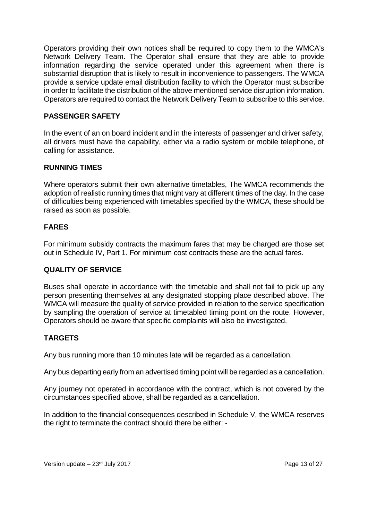Operators providing their own notices shall be required to copy them to the WMCA's Network Delivery Team. The Operator shall ensure that they are able to provide information regarding the service operated under this agreement when there is substantial disruption that is likely to result in inconvenience to passengers. The WMCA provide a service update email distribution facility to which the Operator must subscribe in order to facilitate the distribution of the above mentioned service disruption information. Operators are required to contact the Network Delivery Team to subscribe to this service.

#### **PASSENGER SAFETY**

In the event of an on board incident and in the interests of passenger and driver safety, all drivers must have the capability, either via a radio system or mobile telephone, of calling for assistance.

#### **RUNNING TIMES**

Where operators submit their own alternative timetables, The WMCA recommends the adoption of realistic running times that might vary at different times of the day. In the case of difficulties being experienced with timetables specified by the WMCA, these should be raised as soon as possible.

#### **FARES**

For minimum subsidy contracts the maximum fares that may be charged are those set out in Schedule IV, Part 1. For minimum cost contracts these are the actual fares.

#### **QUALITY OF SERVICE**

Buses shall operate in accordance with the timetable and shall not fail to pick up any person presenting themselves at any designated stopping place described above. The WMCA will measure the quality of service provided in relation to the service specification by sampling the operation of service at timetabled timing point on the route. However, Operators should be aware that specific complaints will also be investigated.

#### **TARGETS**

Any bus running more than 10 minutes late will be regarded as a cancellation.

Any bus departing early from an advertised timing point will be regarded as a cancellation.

Any journey not operated in accordance with the contract, which is not covered by the circumstances specified above, shall be regarded as a cancellation.

In addition to the financial consequences described in Schedule V, the WMCA reserves the right to terminate the contract should there be either: -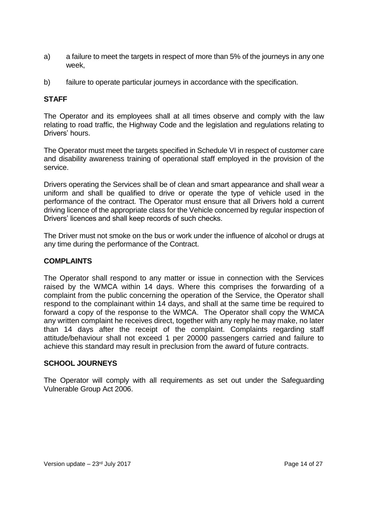- a) a failure to meet the targets in respect of more than 5% of the journeys in any one week,
- b) failure to operate particular journeys in accordance with the specification.

#### **STAFF**

The Operator and its employees shall at all times observe and comply with the law relating to road traffic, the Highway Code and the legislation and regulations relating to Drivers' hours.

The Operator must meet the targets specified in Schedule VI in respect of customer care and disability awareness training of operational staff employed in the provision of the service.

Drivers operating the Services shall be of clean and smart appearance and shall wear a uniform and shall be qualified to drive or operate the type of vehicle used in the performance of the contract. The Operator must ensure that all Drivers hold a current driving licence of the appropriate class for the Vehicle concerned by regular inspection of Drivers' licences and shall keep records of such checks.

The Driver must not smoke on the bus or work under the influence of alcohol or drugs at any time during the performance of the Contract.

#### **COMPLAINTS**

The Operator shall respond to any matter or issue in connection with the Services raised by the WMCA within 14 days. Where this comprises the forwarding of a complaint from the public concerning the operation of the Service, the Operator shall respond to the complainant within 14 days, and shall at the same time be required to forward a copy of the response to the WMCA. The Operator shall copy the WMCA any written complaint he receives direct, together with any reply he may make, no later than 14 days after the receipt of the complaint. Complaints regarding staff attitude/behaviour shall not exceed 1 per 20000 passengers carried and failure to achieve this standard may result in preclusion from the award of future contracts.

#### **SCHOOL JOURNEYS**

The Operator will comply with all requirements as set out under the Safeguarding Vulnerable Group Act 2006.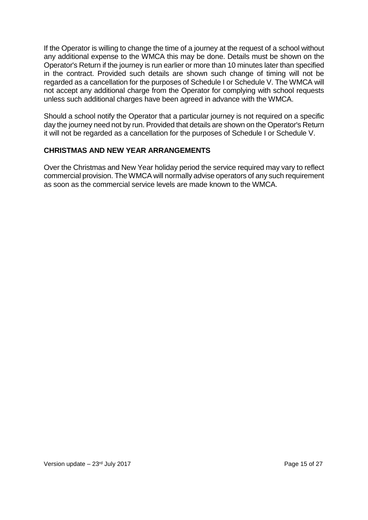If the Operator is willing to change the time of a journey at the request of a school without any additional expense to the WMCA this may be done. Details must be shown on the Operator's Return if the journey is run earlier or more than 10 minutes later than specified in the contract. Provided such details are shown such change of timing will not be regarded as a cancellation for the purposes of Schedule I or Schedule V. The WMCA will not accept any additional charge from the Operator for complying with school requests unless such additional charges have been agreed in advance with the WMCA.

Should a school notify the Operator that a particular journey is not required on a specific day the journey need not by run. Provided that details are shown on the Operator's Return it will not be regarded as a cancellation for the purposes of Schedule I or Schedule V.

#### **CHRISTMAS AND NEW YEAR ARRANGEMENTS**

Over the Christmas and New Year holiday period the service required may vary to reflect commercial provision. The WMCA will normally advise operators of any such requirement as soon as the commercial service levels are made known to the WMCA.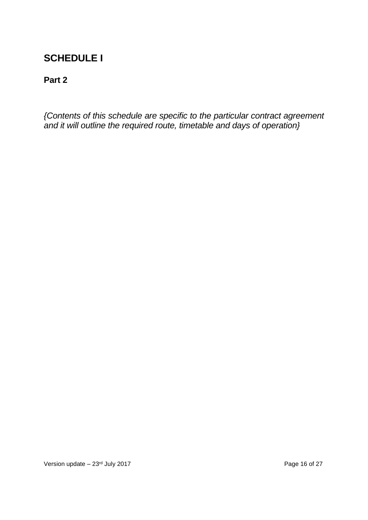## **SCHEDULE I**

## **Part 2**

*{Contents of this schedule are specific to the particular contract agreement and it will outline the required route, timetable and days of operation}*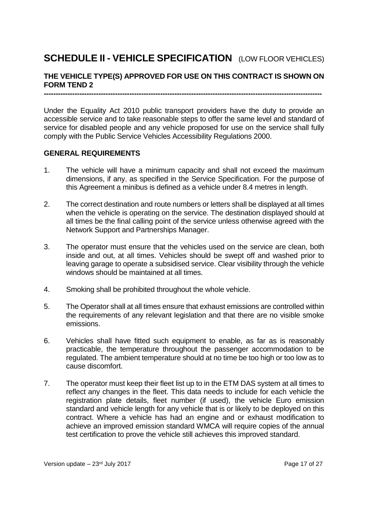## **SCHEDULE II - VEHICLE SPECIFICATION** (LOW FLOOR VEHICLES)

#### **THE VEHICLE TYPE(S) APPROVED FOR USE ON THIS CONTRACT IS SHOWN ON FORM TEND 2**

**---------------------------------------------------------------------------------------------------------------------**

Under the Equality Act 2010 public transport providers have the duty to provide an accessible service and to take reasonable steps to offer the same level and standard of service for disabled people and any vehicle proposed for use on the service shall fully comply with the Public Service Vehicles Accessibility Regulations 2000.

#### **GENERAL REQUIREMENTS**

- 1. The vehicle will have a minimum capacity and shall not exceed the maximum dimensions, if any, as specified in the Service Specification. For the purpose of this Agreement a minibus is defined as a vehicle under 8.4 metres in length.
- 2. The correct destination and route numbers or letters shall be displayed at all times when the vehicle is operating on the service. The destination displayed should at all times be the final calling point of the service unless otherwise agreed with the Network Support and Partnerships Manager.
- 3. The operator must ensure that the vehicles used on the service are clean, both inside and out, at all times. Vehicles should be swept off and washed prior to leaving garage to operate a subsidised service. Clear visibility through the vehicle windows should be maintained at all times.
- 4. Smoking shall be prohibited throughout the whole vehicle.
- 5. The Operator shall at all times ensure that exhaust emissions are controlled within the requirements of any relevant legislation and that there are no visible smoke emissions.
- 6. Vehicles shall have fitted such equipment to enable, as far as is reasonably practicable, the temperature throughout the passenger accommodation to be regulated. The ambient temperature should at no time be too high or too low as to cause discomfort.
- 7. The operator must keep their fleet list up to in the ETM DAS system at all times to reflect any changes in the fleet. This data needs to include for each vehicle the registration plate details, fleet number (if used), the vehicle Euro emission standard and vehicle length for any vehicle that is or likely to be deployed on this contract. Where a vehicle has had an engine and or exhaust modification to achieve an improved emission standard WMCA will require copies of the annual test certification to prove the vehicle still achieves this improved standard.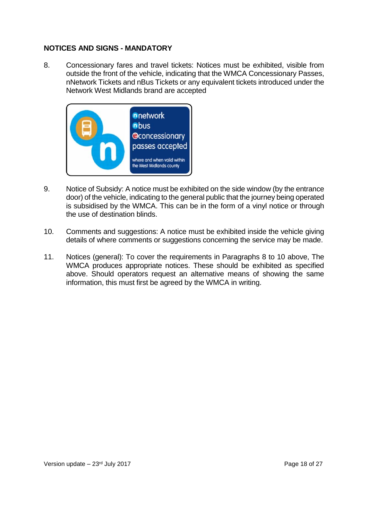#### **NOTICES AND SIGNS - MANDATORY**

8. Concessionary fares and travel tickets: Notices must be exhibited, visible from outside the front of the vehicle, indicating that the WMCA Concessionary Passes, nNetwork Tickets and nBus Tickets or any equivalent tickets introduced under the Network West Midlands brand are accepted



- 9. Notice of Subsidy: A notice must be exhibited on the side window (by the entrance door) of the vehicle, indicating to the general public that the journey being operated is subsidised by the WMCA. This can be in the form of a vinyl notice or through the use of destination blinds.
- 10. Comments and suggestions: A notice must be exhibited inside the vehicle giving details of where comments or suggestions concerning the service may be made.
- 11. Notices (general): To cover the requirements in Paragraphs 8 to 10 above, The WMCA produces appropriate notices. These should be exhibited as specified above. Should operators request an alternative means of showing the same information, this must first be agreed by the WMCA in writing.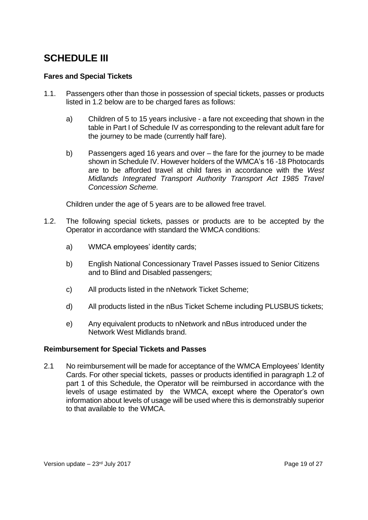## **SCHEDULE III**

#### **Fares and Special Tickets**

- 1.1. Passengers other than those in possession of special tickets, passes or products listed in 1.2 below are to be charged fares as follows:
	- a) Children of 5 to 15 years inclusive a fare not exceeding that shown in the table in Part I of Schedule IV as corresponding to the relevant adult fare for the journey to be made (currently half fare).
	- b) Passengers aged 16 years and over the fare for the journey to be made shown in Schedule IV. However holders of the WMCA's 16 -18 Photocards are to be afforded travel at child fares in accordance with the *West Midlands Integrated Transport Authority Transport Act 1985 Travel Concession Scheme.*

Children under the age of 5 years are to be allowed free travel.

- 1.2. The following special tickets, passes or products are to be accepted by the Operator in accordance with standard the WMCA conditions:
	- a) WMCA employees' identity cards;
	- b) English National Concessionary Travel Passes issued to Senior Citizens and to Blind and Disabled passengers;
	- c) All products listed in the nNetwork Ticket Scheme;
	- d) All products listed in the nBus Ticket Scheme including PLUSBUS tickets;
	- e) Any equivalent products to nNetwork and nBus introduced under the Network West Midlands brand.

#### **Reimbursement for Special Tickets and Passes**

2.1 No reimbursement will be made for acceptance of the WMCA Employees' Identity Cards. For other special tickets, passes or products identified in paragraph 1.2 of part 1 of this Schedule, the Operator will be reimbursed in accordance with the levels of usage estimated by the WMCA, except where the Operator's own information about levels of usage will be used where this is demonstrably superior to that available to the WMCA.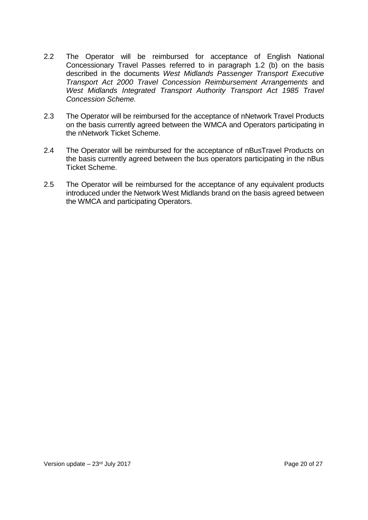- 2.2 The Operator will be reimbursed for acceptance of English National Concessionary Travel Passes referred to in paragraph 1.2 (b) on the basis described in the documents *West Midlands Passenger Transport Executive Transport Act 2000 Travel Concession Reimbursement Arrangements* and *West Midlands Integrated Transport Authority Transport Act 1985 Travel Concession Scheme.*
- 2.3 The Operator will be reimbursed for the acceptance of nNetwork Travel Products on the basis currently agreed between the WMCA and Operators participating in the nNetwork Ticket Scheme.
- 2.4 The Operator will be reimbursed for the acceptance of nBusTravel Products on the basis currently agreed between the bus operators participating in the nBus Ticket Scheme.
- 2.5 The Operator will be reimbursed for the acceptance of any equivalent products introduced under the Network West Midlands brand on the basis agreed between the WMCA and participating Operators.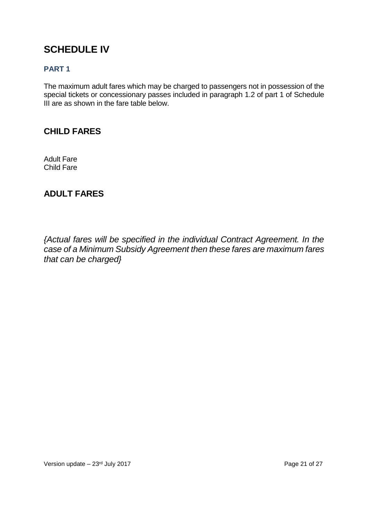## **SCHEDULE IV**

#### **PART 1**

The maximum adult fares which may be charged to passengers not in possession of the special tickets or concessionary passes included in paragraph 1.2 of part 1 of Schedule III are as shown in the fare table below.

#### **CHILD FARES**

Adult Fare Child Fare

## **ADULT FARES**

*{Actual fares will be specified in the individual Contract Agreement. In the case of a Minimum Subsidy Agreement then these fares are maximum fares that can be charged}*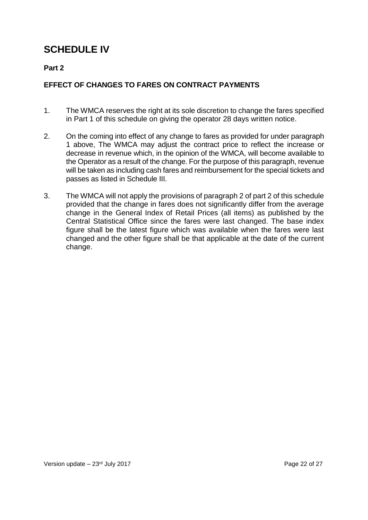## **SCHEDULE IV**

#### **Part 2**

#### **EFFECT OF CHANGES TO FARES ON CONTRACT PAYMENTS**

- 1. The WMCA reserves the right at its sole discretion to change the fares specified in Part 1 of this schedule on giving the operator 28 days written notice.
- 2. On the coming into effect of any change to fares as provided for under paragraph 1 above, The WMCA may adjust the contract price to reflect the increase or decrease in revenue which, in the opinion of the WMCA, will become available to the Operator as a result of the change. For the purpose of this paragraph, revenue will be taken as including cash fares and reimbursement for the special tickets and passes as listed in Schedule III.
- 3. The WMCA will not apply the provisions of paragraph 2 of part 2 of this schedule provided that the change in fares does not significantly differ from the average change in the General Index of Retail Prices (all items) as published by the Central Statistical Office since the fares were last changed. The base index figure shall be the latest figure which was available when the fares were last changed and the other figure shall be that applicable at the date of the current change.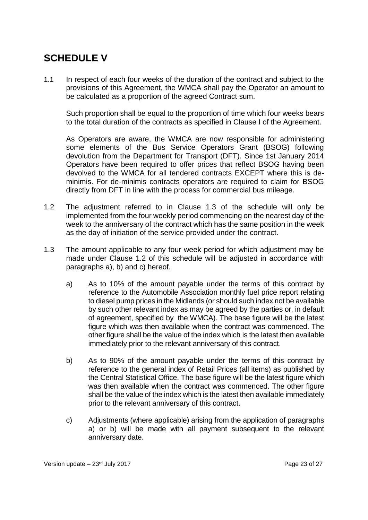## **SCHEDULE V**

1.1 In respect of each four weeks of the duration of the contract and subject to the provisions of this Agreement, the WMCA shall pay the Operator an amount to be calculated as a proportion of the agreed Contract sum.

Such proportion shall be equal to the proportion of time which four weeks bears to the total duration of the contracts as specified in Clause I of the Agreement.

As Operators are aware, the WMCA are now responsible for administering some elements of the Bus Service Operators Grant (BSOG) following devolution from the Department for Transport (DFT). Since 1st January 2014 Operators have been required to offer prices that reflect BSOG having been devolved to the WMCA for all tendered contracts EXCEPT where this is deminimis. For de-minimis contracts operators are required to claim for BSOG directly from DFT in line with the process for commercial bus mileage.

- 1.2 The adjustment referred to in Clause 1.3 of the schedule will only be implemented from the four weekly period commencing on the nearest day of the week to the anniversary of the contract which has the same position in the week as the day of initiation of the service provided under the contract.
- 1.3 The amount applicable to any four week period for which adjustment may be made under Clause 1.2 of this schedule will be adjusted in accordance with paragraphs a), b) and c) hereof.
	- a) As to 10% of the amount payable under the terms of this contract by reference to the Automobile Association monthly fuel price report relating to diesel pump prices in the Midlands (or should such index not be available by such other relevant index as may be agreed by the parties or, in default of agreement, specified by the WMCA). The base figure will be the latest figure which was then available when the contract was commenced. The other figure shall be the value of the index which is the latest then available immediately prior to the relevant anniversary of this contract.
	- b) As to 90% of the amount payable under the terms of this contract by reference to the general index of Retail Prices (all items) as published by the Central Statistical Office. The base figure will be the latest figure which was then available when the contract was commenced. The other figure shall be the value of the index which is the latest then available immediately prior to the relevant anniversary of this contract.
	- c) Adjustments (where applicable) arising from the application of paragraphs a) or b) will be made with all payment subsequent to the relevant anniversary date.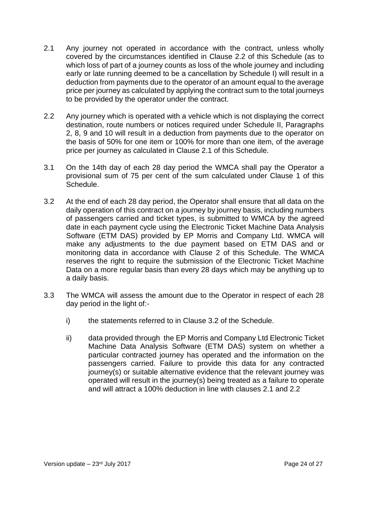- 2.1 Any journey not operated in accordance with the contract, unless wholly covered by the circumstances identified in Clause 2.2 of this Schedule (as to which loss of part of a journey counts as loss of the whole journey and including early or late running deemed to be a cancellation by Schedule I) will result in a deduction from payments due to the operator of an amount equal to the average price per journey as calculated by applying the contract sum to the total journeys to be provided by the operator under the contract.
- 2.2 Any journey which is operated with a vehicle which is not displaying the correct destination, route numbers or notices required under Schedule II, Paragraphs 2, 8, 9 and 10 will result in a deduction from payments due to the operator on the basis of 50% for one item or 100% for more than one item, of the average price per journey as calculated in Clause 2.1 of this Schedule.
- 3.1 On the 14th day of each 28 day period the WMCA shall pay the Operator a provisional sum of 75 per cent of the sum calculated under Clause 1 of this Schedule.
- 3.2 At the end of each 28 day period, the Operator shall ensure that all data on the daily operation of this contract on a journey by journey basis, including numbers of passengers carried and ticket types, is submitted to WMCA by the agreed date in each payment cycle using the Electronic Ticket Machine Data Analysis Software (ETM DAS) provided by EP Morris and Company Ltd. WMCA will make any adjustments to the due payment based on ETM DAS and or monitoring data in accordance with Clause 2 of this Schedule. The WMCA reserves the right to require the submission of the Electronic Ticket Machine Data on a more regular basis than every 28 days which may be anything up to a daily basis.
- 3.3 The WMCA will assess the amount due to the Operator in respect of each 28 day period in the light of:
	- i) the statements referred to in Clause 3.2 of the Schedule.
	- ii) data provided through the EP Morris and Company Ltd Electronic Ticket Machine Data Analysis Software (ETM DAS) system on whether a particular contracted journey has operated and the information on the passengers carried. Failure to provide this data for any contracted journey(s) or suitable alternative evidence that the relevant journey was operated will result in the journey(s) being treated as a failure to operate and will attract a 100% deduction in line with clauses 2.1 and 2.2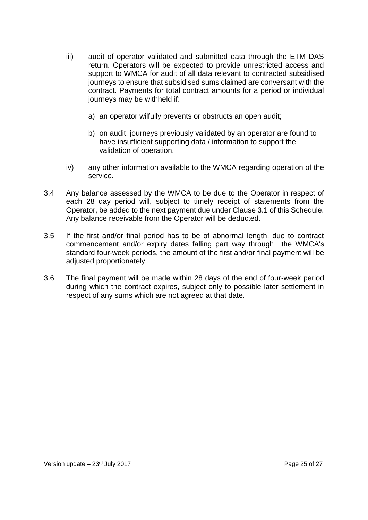- iii) audit of operator validated and submitted data through the ETM DAS return. Operators will be expected to provide unrestricted access and support to WMCA for audit of all data relevant to contracted subsidised journeys to ensure that subsidised sums claimed are conversant with the contract. Payments for total contract amounts for a period or individual journeys may be withheld if:
	- a) an operator wilfully prevents or obstructs an open audit;
	- b) on audit, journeys previously validated by an operator are found to have insufficient supporting data / information to support the validation of operation.
- iv) any other information available to the WMCA regarding operation of the service.
- 3.4 Any balance assessed by the WMCA to be due to the Operator in respect of each 28 day period will, subject to timely receipt of statements from the Operator, be added to the next payment due under Clause 3.1 of this Schedule. Any balance receivable from the Operator will be deducted.
- 3.5 If the first and/or final period has to be of abnormal length, due to contract commencement and/or expiry dates falling part way through the WMCA's standard four-week periods, the amount of the first and/or final payment will be adjusted proportionately.
- 3.6 The final payment will be made within 28 days of the end of four-week period during which the contract expires, subject only to possible later settlement in respect of any sums which are not agreed at that date.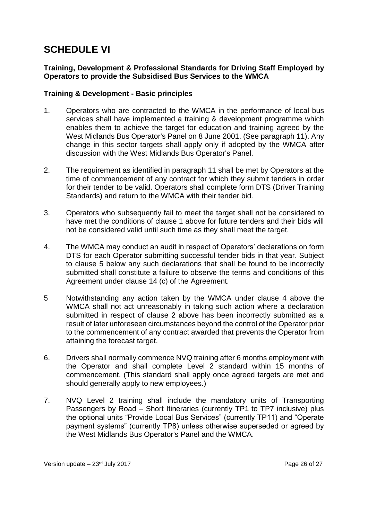## **SCHEDULE VI**

#### **Training, Development & Professional Standards for Driving Staff Employed by Operators to provide the Subsidised Bus Services to the WMCA**

#### **Training & Development - Basic principles**

- 1. Operators who are contracted to the WMCA in the performance of local bus services shall have implemented a training & development programme which enables them to achieve the target for education and training agreed by the West Midlands Bus Operator's Panel on 8 June 2001. (See paragraph 11). Any change in this sector targets shall apply only if adopted by the WMCA after discussion with the West Midlands Bus Operator's Panel.
- 2. The requirement as identified in paragraph 11 shall be met by Operators at the time of commencement of any contract for which they submit tenders in order for their tender to be valid. Operators shall complete form DTS (Driver Training Standards) and return to the WMCA with their tender bid.
- 3. Operators who subsequently fail to meet the target shall not be considered to have met the conditions of clause 1 above for future tenders and their bids will not be considered valid until such time as they shall meet the target.
- 4. The WMCA may conduct an audit in respect of Operators' declarations on form DTS for each Operator submitting successful tender bids in that year. Subject to clause 5 below any such declarations that shall be found to be incorrectly submitted shall constitute a failure to observe the terms and conditions of this Agreement under clause 14 (c) of the Agreement.
- 5 Notwithstanding any action taken by the WMCA under clause 4 above the WMCA shall not act unreasonably in taking such action where a declaration submitted in respect of clause 2 above has been incorrectly submitted as a result of later unforeseen circumstances beyond the control of the Operator prior to the commencement of any contract awarded that prevents the Operator from attaining the forecast target.
- 6. Drivers shall normally commence NVQ training after 6 months employment with the Operator and shall complete Level 2 standard within 15 months of commencement. (This standard shall apply once agreed targets are met and should generally apply to new employees.)
- 7. NVQ Level 2 training shall include the mandatory units of Transporting Passengers by Road – Short Itineraries (currently TP1 to TP7 inclusive) plus the optional units "Provide Local Bus Services" (currently TP11) and "Operate payment systems" (currently TP8) unless otherwise superseded or agreed by the West Midlands Bus Operator's Panel and the WMCA.